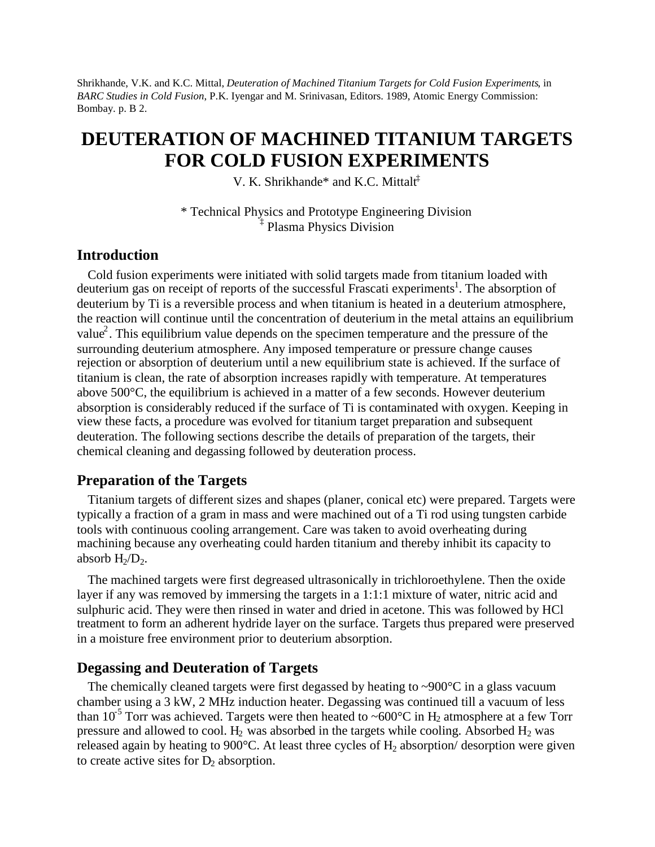Shrikhande, V.K. and K.C. Mittal, *Deuteration of Machined Titanium Targets for Cold Fusion Experiments*, in *BARC Studies in Cold Fusion*, P.K. Iyengar and M. Srinivasan, Editors. 1989, Atomic Energy Commission: Bombay. p. B 2.

# **DEUTERATION OF MACHINED TITANIUM TARGETS FOR COLD FUSION EXPERIMENTS**

V. K. Shrikhande\* and K.C. Mittalt‡

\* Technical Physics and Prototype Engineering Division ‡ Plasma Physics Division

### **Introduction**

Cold fusion experiments were initiated with solid targets made from titanium loaded with deuterium gas on receipt of reports of the successful Frascati experiments<sup>1</sup>. The absorption of deuterium by Ti is a reversible process and when titanium is heated in a deuterium atmosphere, the reaction will continue until the concentration of deuterium in the metal attains an equilibrium value<sup>2</sup>. This equilibrium value depends on the specimen temperature and the pressure of the surrounding deuterium atmosphere. Any imposed temperature or pressure change causes rejection or absorption of deuterium until a new equilibrium state is achieved. If the surface of titanium is clean, the rate of absorption increases rapidly with temperature. At temperatures above 500°C, the equilibrium is achieved in a matter of a few seconds. However deuterium absorption is considerably reduced if the surface of Ti is contaminated with oxygen. Keeping in view these facts, a procedure was evolved for titanium target preparation and subsequent deuteration. The following sections describe the details of preparation of the targets, their chemical cleaning and degassing followed by deuteration process.

#### **Preparation of the Targets**

Titanium targets of different sizes and shapes (planer, conical etc) were prepared. Targets were typically a fraction of a gram in mass and were machined out of a Ti rod using tungsten carbide tools with continuous cooling arrangement. Care was taken to avoid overheating during machining because any overheating could harden titanium and thereby inhibit its capacity to absorb  $H_2/D_2$ .

The machined targets were first degreased ultrasonically in trichloroethylene. Then the oxide layer if any was removed by immersing the targets in a 1:1:1 mixture of water, nitric acid and sulphuric acid. They were then rinsed in water and dried in acetone. This was followed by HCl treatment to form an adherent hydride layer on the surface. Targets thus prepared were preserved in a moisture free environment prior to deuterium absorption.

#### **Degassing and Deuteration of Targets**

The chemically cleaned targets were first degassed by heating to  $\sim 900^{\circ}$ C in a glass vacuum chamber using a 3 kW, 2 MHz induction heater. Degassing was continued till a vacuum of less than 10<sup>-5</sup> Torr was achieved. Targets were then heated to ~600°C in H<sub>2</sub> atmosphere at a few Torr pressure and allowed to cool.  $H_2$  was absorbed in the targets while cooling. Absorbed  $H_2$  was released again by heating to 900 $^{\circ}$ C. At least three cycles of H<sub>2</sub> absorption/ desorption were given to create active sites for  $D_2$  absorption.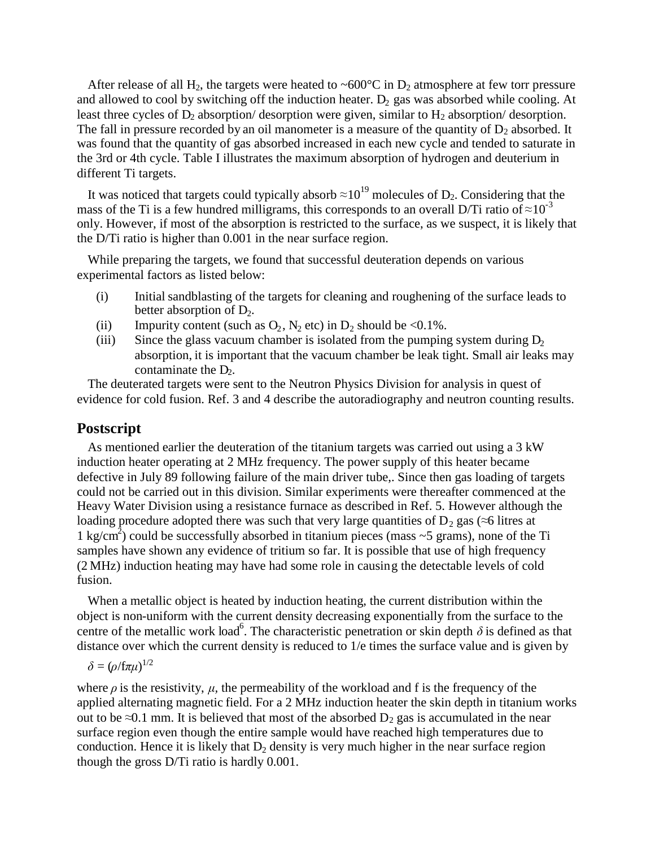After release of all H<sub>2</sub>, the targets were heated to ~600 $^{\circ}$ C in D<sub>2</sub> atmosphere at few torr pressure and allowed to cool by switching off the induction heater.  $D_2$  gas was absorbed while cooling. At least three cycles of  $D_2$  absorption/ desorption were given, similar to  $H_2$  absorption/ desorption. The fall in pressure recorded by an oil manometer is a measure of the quantity of  $D_2$  absorbed. It was found that the quantity of gas absorbed increased in each new cycle and tended to saturate in the 3rd or 4th cycle. Table I illustrates the maximum absorption of hydrogen and deuterium in different Ti targets.

It was noticed that targets could typically absorb  $\approx 10^{19}$  molecules of D<sub>2</sub>. Considering that the mass of the Ti is a few hundred milligrams, this corresponds to an overall D/Ti ratio of  $\approx 10^{-3}$ only. However, if most of the absorption is restricted to the surface, as we suspect, it is likely that the D/Ti ratio is higher than 0.001 in the near surface region.

While preparing the targets, we found that successful deuteration depends on various experimental factors as listed below:

- (i) Initial sandblasting of the targets for cleaning and roughening of the surface leads to better absorption of  $D_2$ .
- (ii) Impurity content (such as  $O_2$ ,  $N_2$  etc) in  $D_2$  should be <0.1%.
- (iii) Since the glass vacuum chamber is isolated from the pumping system during  $D_2$ absorption, it is important that the vacuum chamber be leak tight. Small air leaks may contaminate the  $D_2$ .

The deuterated targets were sent to the Neutron Physics Division for analysis in quest of evidence for cold fusion. Ref. 3 and 4 describe the autoradiography and neutron counting results.

#### **Postscript**

As mentioned earlier the deuteration of the titanium targets was carried out using a 3 kW induction heater operating at 2 MHz frequency. The power supply of this heater became defective in July 89 following failure of the main driver tube,. Since then gas loading of targets could not be carried out in this division. Similar experiments were thereafter commenced at the Heavy Water Division using a resistance furnace as described in Ref. 5. However although the loading procedure adopted there was such that very large quantities of  $D_2$  gas ( $\approx$ 6 litres at 1 kg/cm<sup>2</sup>) could be successfully absorbed in titanium pieces (mass  $\sim$  5 grams), none of the Ti samples have shown any evidence of tritium so far. It is possible that use of high frequency (2 MHz) induction heating may have had some role in causing the detectable levels of cold fusion.

When a metallic object is heated by induction heating, the current distribution within the object is non-uniform with the current density decreasing exponentially from the surface to the centre of the metallic work load<sup>6</sup>. The characteristic penetration or skin depth  $\delta$  is defined as that distance over which the current density is reduced to 1/e times the surface value and is given by

$$
\delta = (\rho/\mathrm{f}\pi\mu)^{1/2}
$$

where  $\rho$  is the resistivity,  $\mu$ , the permeability of the workload and f is the frequency of the applied alternating magnetic field. For a 2 MHz induction heater the skin depth in titanium works out to be ≈0.1 mm. It is believed that most of the absorbed  $D_2$  gas is accumulated in the near surface region even though the entire sample would have reached high temperatures due to conduction. Hence it is likely that  $D_2$  density is very much higher in the near surface region though the gross D/Ti ratio is hardly 0.001.